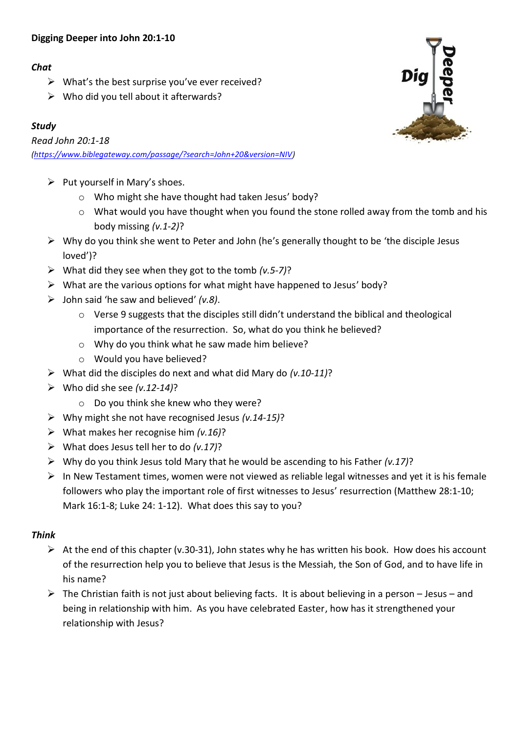# **Digging Deeper into John 20:1-10**

# *Chat*

- $\triangleright$  What's the best surprise you've ever received?
- $\triangleright$  Who did you tell about it afterwards?

# *Study*

*Read John 20:1-18 [\(https://www.biblegateway.com/passage/?search=John+20&version=NIV\)](https://www.biblegateway.com/passage/?search=John+20&version=NIV)*

- $\triangleright$  Put yourself in Mary's shoes.
	- o Who might she have thought had taken Jesus' body?
	- o What would you have thought when you found the stone rolled away from the tomb and his body missing *(v.1-2)*?
- $\triangleright$  Why do you think she went to Peter and John (he's generally thought to be 'the disciple Jesus loved')?
- ➢ What did they see when they got to the tomb *(v.5-7)*?
- ➢ What are the various options for what might have happened to Jesus' body?
- ➢ John said 'he saw and believed' *(v.8)*.
	- o Verse 9 suggests that the disciples still didn't understand the biblical and theological importance of the resurrection. So, what do you think he believed?
	- o Why do you think what he saw made him believe?
	- o Would you have believed?
- ➢ What did the disciples do next and what did Mary do *(v.10-11)*?
- ➢ Who did she see *(v.12-14)*?
	- o Do you think she knew who they were?
- ➢ Why might she not have recognised Jesus *(v.14-15)*?
- ➢ What makes her recognise him *(v.16)*?
- ➢ What does Jesus tell her to do *(v.17)*?
- ➢ Why do you think Jesus told Mary that he would be ascending to his Father *(v.17)*?
- $\triangleright$  In New Testament times, women were not viewed as reliable legal witnesses and yet it is his female followers who play the important role of first witnesses to Jesus' resurrection (Matthew 28:1-10; Mark 16:1-8; Luke 24: 1-12). What does this say to you?

# *Think*

- $\triangleright$  At the end of this chapter (v.30-31), John states why he has written his book. How does his account of the resurrection help you to believe that Jesus is the Messiah, the Son of God, and to have life in his name?
- $\triangleright$  The Christian faith is not just about believing facts. It is about believing in a person Jesus and being in relationship with him. As you have celebrated Easter, how has it strengthened your relationship with Jesus?